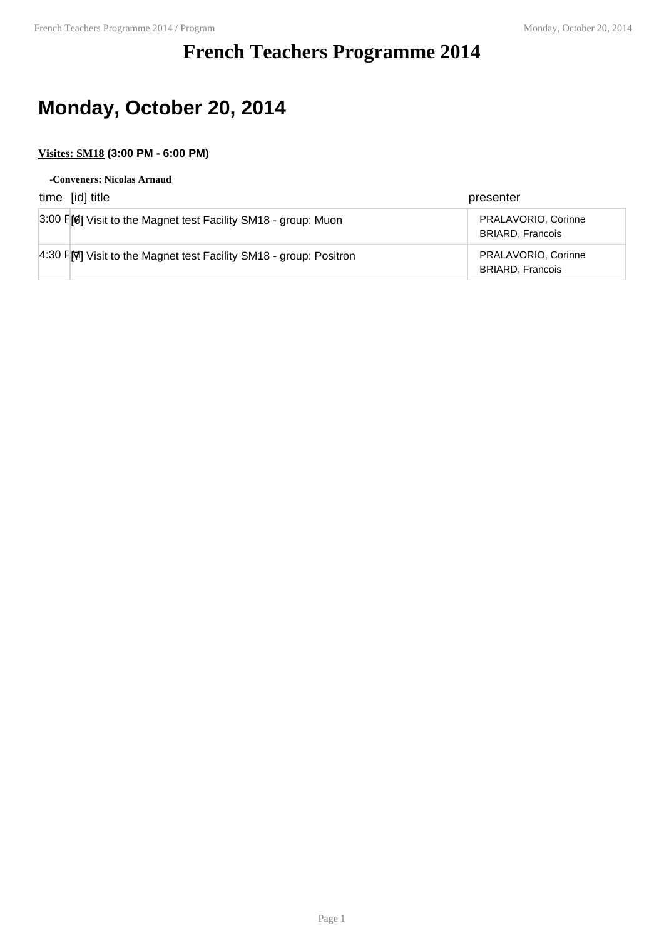## **French Teachers Programme 2014**

# **Monday, October 20, 2014**

### **Visites: SM18 (3:00 PM - 6:00 PM)**

#### **-Conveners: Nicolas Arnaud**

| time [id] title                                                  | presenter                                      |
|------------------------------------------------------------------|------------------------------------------------|
| 3:00 FM Visit to the Magnet test Facility SM18 - group: Muon     | PRALAVORIO, Corinne<br><b>BRIARD, Francois</b> |
| 4:30 PM Visit to the Magnet test Facility SM18 - group: Positron | PRALAVORIO, Corinne<br><b>BRIARD, Francois</b> |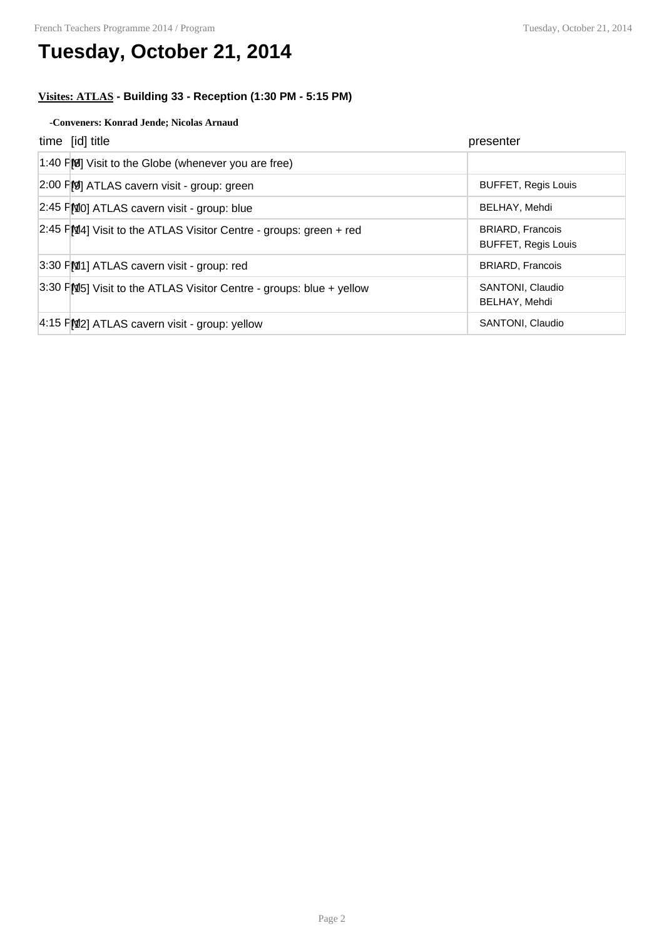## **Tuesday, October 21, 2014**

### **Visites: ATLAS - Building 33 - Reception (1:30 PM - 5:15 PM)**

#### **-Conveners: Konrad Jende; Nicolas Arnaud**

| time [id] title                                                     | presenter                                             |
|---------------------------------------------------------------------|-------------------------------------------------------|
| 1:40 $F[8]$ Visit to the Globe (whenever you are free)              |                                                       |
| 2:00 FM ATLAS cavern visit - group: green                           | <b>BUFFET, Regis Louis</b>                            |
| 2:45 FMO] ATLAS cavern visit - group: blue                          | BELHAY, Mehdi                                         |
| $2:45$ PM4] Visit to the ATLAS Visitor Centre - groups: green + red | <b>BRIARD, Francois</b><br><b>BUFFET, Regis Louis</b> |
| 3:30 FM1] ATLAS cavern visit - group: red                           | <b>BRIARD, Francois</b>                               |
| 3:30 FMS Visit to the ATLAS Visitor Centre - groups: blue + yellow  | SANTONI, Claudio<br>BELHAY, Mehdi                     |
| 4:15 FM2] ATLAS cavern visit - group: yellow                        | SANTONI, Claudio                                      |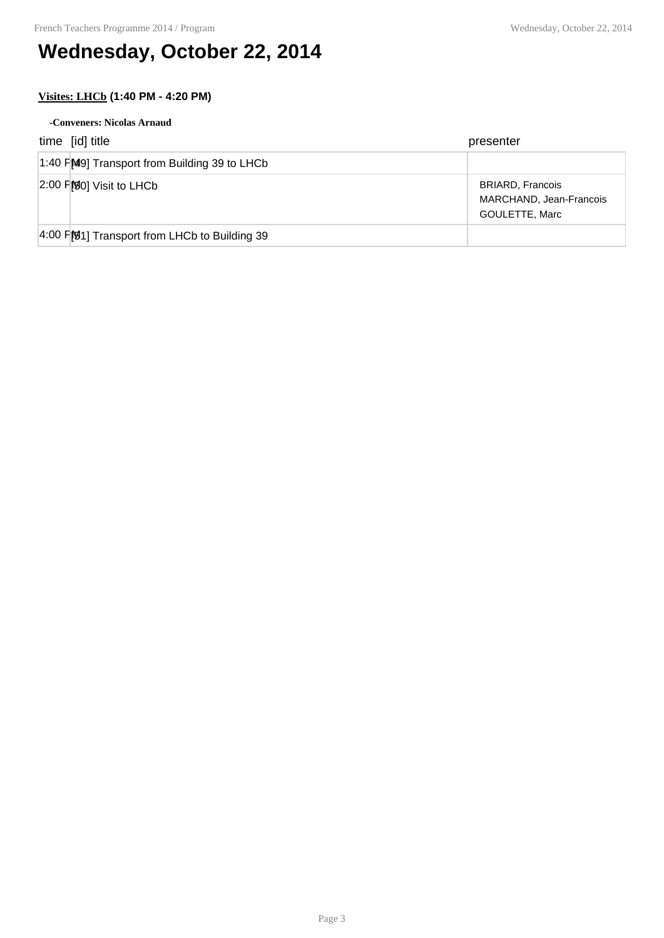# **Wednesday, October 22, 2014**

### **Visites: LHCb (1:40 PM - 4:20 PM)**

| -Conveners: Nicolas Arnaud                    |                                                                      |  |
|-----------------------------------------------|----------------------------------------------------------------------|--|
| time [id] title                               | presenter                                                            |  |
| 1:40 FM9] Transport from Building 39 to LHCb  |                                                                      |  |
| $[2:00$ F $[$0]$ Visit to LHCb                | <b>BRIARD, Francois</b><br>MARCHAND, Jean-Francois<br>GOULETTE, Marc |  |
| 4:00 F[91] Transport from LHCb to Building 39 |                                                                      |  |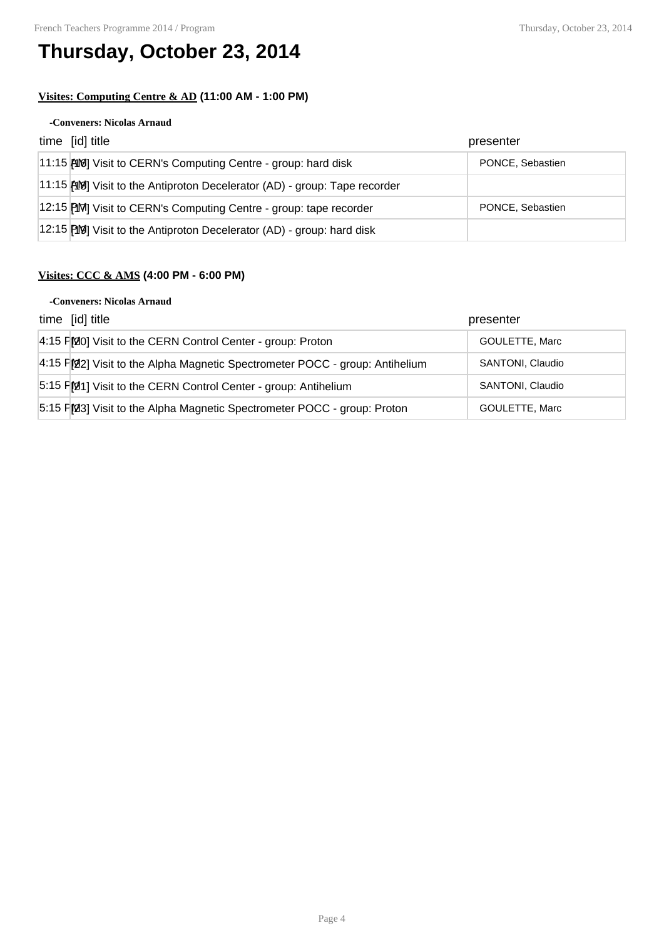# **Thursday, October 23, 2014**

### **Visites: Computing Centre & AD (11:00 AM - 1:00 PM)**

#### **-Conveners: Nicolas Arnaud**

| time [id] title                                                             | presenter        |
|-----------------------------------------------------------------------------|------------------|
| 11:15 AM Visit to CERN's Computing Centre - group: hard disk                | PONCE, Sebastien |
| 11:15 [408] Visit to the Antiproton Decelerator (AD) - group: Tape recorder |                  |
| 12:15 PM Visit to CERN's Computing Centre - group: tape recorder            | PONCE, Sebastien |
| 12:15 [19] Visit to the Antiproton Decelerator (AD) - group: hard disk      |                  |

### **Visites: CCC & AMS (4:00 PM - 6:00 PM)**

#### **-Conveners: Nicolas Arnaud**

| time [id] title                                                             | presenter        |
|-----------------------------------------------------------------------------|------------------|
| 4:15 FMO] Visit to the CERN Control Center - group: Proton                  | GOULETTE, Marc   |
| 4:15 PM2] Visit to the Alpha Magnetic Spectrometer POCC - group: Antihelium | SANTONI, Claudio |
| 5:15 FM1] Visit to the CERN Control Center - group: Antihelium              | SANTONI, Claudio |
| 5:15 PM3] Visit to the Alpha Magnetic Spectrometer POCC - group: Proton     | GOULETTE, Marc   |